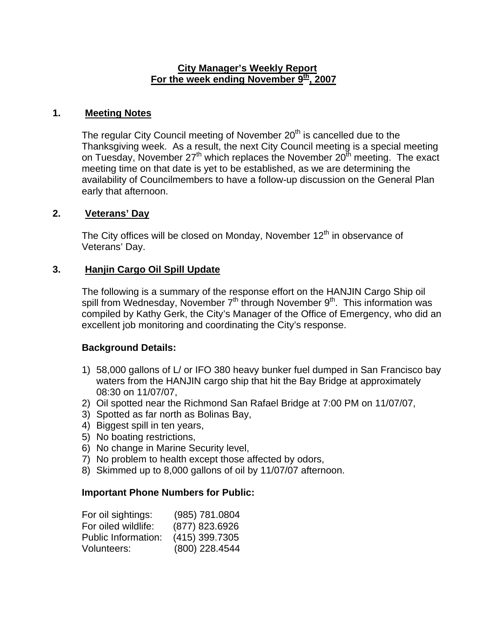#### **City Manager's Weekly Report** For the week ending November 9<sup>th</sup>, 2007

### **1. Meeting Notes**

The regular City Council meeting of November 20<sup>th</sup> is cancelled due to the Thanksgiving week. As a result, the next City Council meeting is a special meeting on Tuesday, November  $27<sup>th</sup>$  which replaces the November  $20<sup>th</sup>$  meeting. The exact meeting time on that date is yet to be established, as we are determining the availability of Councilmembers to have a follow-up discussion on the General Plan early that afternoon.

### **2. Veterans' Day**

The City offices will be closed on Monday, November  $12<sup>th</sup>$  in observance of Veterans' Day.

## **3. Hanjin Cargo Oil Spill Update**

The following is a summary of the response effort on the HANJIN Cargo Ship oil spill from Wednesday, November  $7<sup>th</sup>$  through November  $9<sup>th</sup>$ . This information was compiled by Kathy Gerk, the City's Manager of the Office of Emergency, who did an excellent job monitoring and coordinating the City's response.

#### **Background Details:**

- 1) 58,000 gallons of L/ or IFO 380 heavy bunker fuel dumped in San Francisco bay waters from the HANJIN cargo ship that hit the Bay Bridge at approximately 08:30 on 11/07/07,
- 2) Oil spotted near the Richmond San Rafael Bridge at 7:00 PM on 11/07/07,
- 3) Spotted as far north as Bolinas Bay,
- 4) Biggest spill in ten years,
- 5) No boating restrictions,
- 6) No change in Marine Security level,
- 7) No problem to health except those affected by odors,
- 8) Skimmed up to 8,000 gallons of oil by 11/07/07 afternoon.

#### **Important Phone Numbers for Public:**

| For oil sightings:         | (985) 781.0804   |
|----------------------------|------------------|
| For oiled wildlife:        | (877) 823.6926   |
| <b>Public Information:</b> | $(415)$ 399.7305 |
| Volunteers:                | $(800)$ 228.4544 |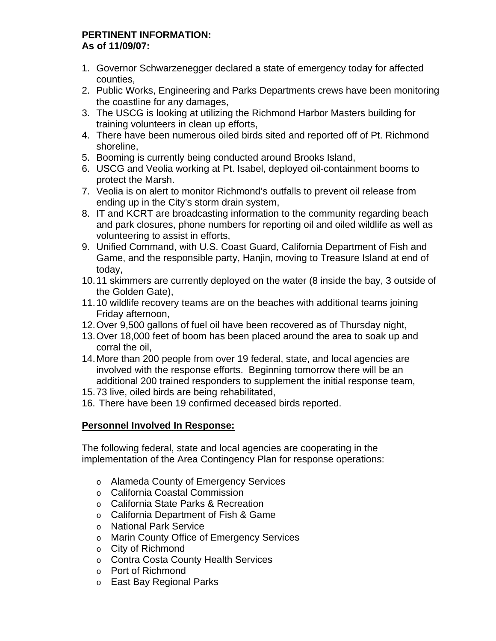#### **PERTINENT INFORMATION: As of 11/09/07:**

- 1. Governor Schwarzenegger declared a state of emergency today for affected counties,
- 2. Public Works, Engineering and Parks Departments crews have been monitoring the coastline for any damages,
- 3. The USCG is looking at utilizing the Richmond Harbor Masters building for training volunteers in clean up efforts,
- 4. There have been numerous oiled birds sited and reported off of Pt. Richmond shoreline,
- 5. Booming is currently being conducted around Brooks Island,
- 6. USCG and Veolia working at Pt. Isabel, deployed oil-containment booms to protect the Marsh.
- 7. Veolia is on alert to monitor Richmond's outfalls to prevent oil release from ending up in the City's storm drain system,
- 8. IT and KCRT are broadcasting information to the community regarding beach and park closures, phone numbers for reporting oil and oiled wildlife as well as volunteering to assist in efforts,
- 9. Unified Command, with U.S. Coast Guard, California Department of Fish and Game, and the responsible party, Hanjin, moving to Treasure Island at end of today,
- 10. 11 skimmers are currently deployed on the water (8 inside the bay, 3 outside of the Golden Gate),
- 11. 10 wildlife recovery teams are on the beaches with additional teams joining Friday afternoon,
- 12. Over 9,500 gallons of fuel oil have been recovered as of Thursday night,
- 13. Over 18,000 feet of boom has been placed around the area to soak up and corral the oil,
- 14. More than 200 people from over 19 federal, state, and local agencies are involved with the response efforts. Beginning tomorrow there will be an additional 200 trained responders to supplement the initial response team,
- 15. 73 live, oiled birds are being rehabilitated,
- 16. There have been 19 confirmed deceased birds reported.

# **Personnel Involved In Response:**

The following federal, state and local agencies are cooperating in the implementation of the Area Contingency Plan for response operations:

- o Alameda County of Emergency Services
- o California Coastal Commission
- o California State Parks & Recreation
- o California Department of Fish & Game
- o National Park Service
- o Marin County Office of Emergency Services
- o City of Richmond
- o Contra Costa County Health Services
- o Port of Richmond
- o East Bay Regional Parks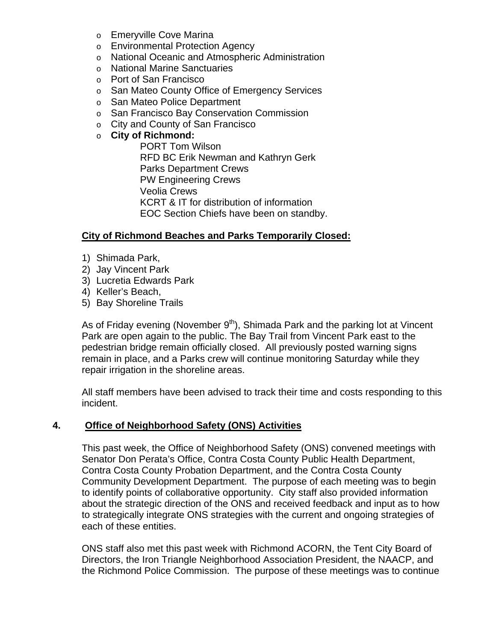- o Emeryville Cove Marina
- o Environmental Protection Agency
- o National Oceanic and Atmospheric Administration
- o National Marine Sanctuaries
- o Port of San Francisco
- o San Mateo County Office of Emergency Services
- o San Mateo Police Department
- o San Francisco Bay Conservation Commission
- o City and County of San Francisco
- o **City of Richmond:**

PORT Tom Wilson RFD BC Erik Newman and Kathryn Gerk Parks Department Crews PW Engineering Crews Veolia Crews KCRT & IT for distribution of information EOC Section Chiefs have been on standby.

#### **City of Richmond Beaches and Parks Temporarily Closed:**

- 1) Shimada Park,
- 2) Jay Vincent Park
- 3) Lucretia Edwards Park
- 4) Keller's Beach,
- 5) Bay Shoreline Trails

As of Friday evening (November  $9<sup>th</sup>$ ), Shimada Park and the parking lot at Vincent Park are open again to the public. The Bay Trail from Vincent Park east to the pedestrian bridge remain officially closed. All previously posted warning signs remain in place, and a Parks crew will continue monitoring Saturday while they repair irrigation in the shoreline areas.

All staff members have been advised to track their time and costs responding to this incident.

#### **4. Office of Neighborhood Safety (ONS) Activities**

This past week, the Office of Neighborhood Safety (ONS) convened meetings with Senator Don Perata's Office, Contra Costa County Public Health Department, Contra Costa County Probation Department, and the Contra Costa County Community Development Department. The purpose of each meeting was to begin to identify points of collaborative opportunity. City staff also provided information about the strategic direction of the ONS and received feedback and input as to how to strategically integrate ONS strategies with the current and ongoing strategies of each of these entities.

ONS staff also met this past week with Richmond ACORN, the Tent City Board of Directors, the Iron Triangle Neighborhood Association President, the NAACP, and the Richmond Police Commission. The purpose of these meetings was to continue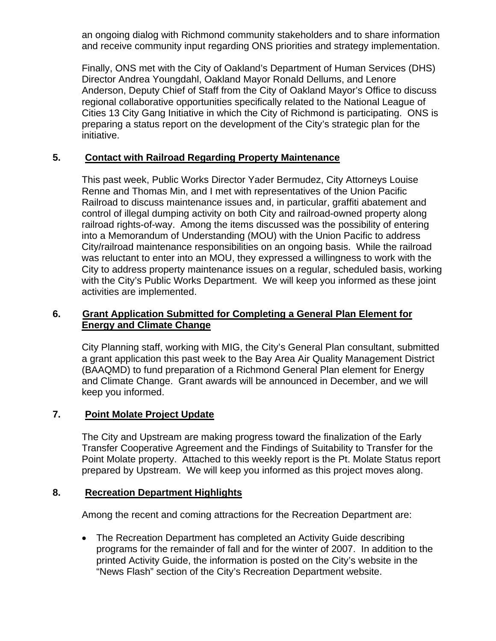an ongoing dialog with Richmond community stakeholders and to share information and receive community input regarding ONS priorities and strategy implementation.

Finally, ONS met with the City of Oakland's Department of Human Services (DHS) Director Andrea Youngdahl, Oakland Mayor Ronald Dellums, and Lenore Anderson, Deputy Chief of Staff from the City of Oakland Mayor's Office to discuss regional collaborative opportunities specifically related to the National League of Cities 13 City Gang Initiative in which the City of Richmond is participating. ONS is preparing a status report on the development of the City's strategic plan for the initiative.

### **5. Contact with Railroad Regarding Property Maintenance**

This past week, Public Works Director Yader Bermudez, City Attorneys Louise Renne and Thomas Min, and I met with representatives of the Union Pacific Railroad to discuss maintenance issues and, in particular, graffiti abatement and control of illegal dumping activity on both City and railroad-owned property along railroad rights-of-way. Among the items discussed was the possibility of entering into a Memorandum of Understanding (MOU) with the Union Pacific to address City/railroad maintenance responsibilities on an ongoing basis. While the railroad was reluctant to enter into an MOU, they expressed a willingness to work with the City to address property maintenance issues on a regular, scheduled basis, working with the City's Public Works Department. We will keep you informed as these joint activities are implemented.

#### **6. Grant Application Submitted for Completing a General Plan Element for Energy and Climate Change**

City Planning staff, working with MIG, the City's General Plan consultant, submitted a grant application this past week to the Bay Area Air Quality Management District (BAAQMD) to fund preparation of a Richmond General Plan element for Energy and Climate Change. Grant awards will be announced in December, and we will keep you informed.

## **7. Point Molate Project Update**

The City and Upstream are making progress toward the finalization of the Early Transfer Cooperative Agreement and the Findings of Suitability to Transfer for the Point Molate property. Attached to this weekly report is the Pt. Molate Status report prepared by Upstream. We will keep you informed as this project moves along.

#### **8. Recreation Department Highlights**

Among the recent and coming attractions for the Recreation Department are:

• The Recreation Department has completed an Activity Guide describing programs for the remainder of fall and for the winter of 2007. In addition to the printed Activity Guide, the information is posted on the City's website in the "News Flash" section of the City's Recreation Department website.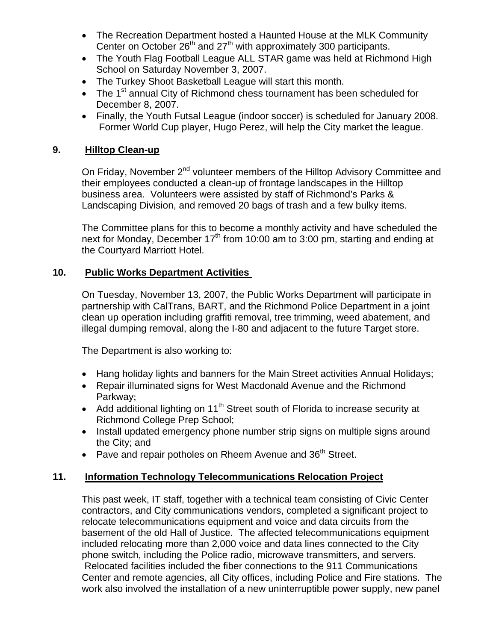- The Recreation Department hosted a Haunted House at the MLK Community Center on October  $26<sup>th</sup>$  and  $27<sup>th</sup>$  with approximately 300 participants.
- The Youth Flag Football League ALL STAR game was held at Richmond High School on Saturday November 3, 2007.
- The Turkey Shoot Basketball League will start this month.
- The  $1<sup>st</sup>$  annual City of Richmond chess tournament has been scheduled for December 8, 2007.
- Finally, the Youth Futsal League (indoor soccer) is scheduled for January 2008. Former World Cup player, Hugo Perez, will help the City market the league.

## **9. Hilltop Clean-up**

On Friday, November 2<sup>nd</sup> volunteer members of the Hilltop Advisory Committee and their employees conducted a clean-up of frontage landscapes in the Hilltop business area. Volunteers were assisted by staff of Richmond's Parks & Landscaping Division, and removed 20 bags of trash and a few bulky items.

The Committee plans for this to become a monthly activity and have scheduled the next for Monday, December  $17<sup>th</sup>$  from 10:00 am to 3:00 pm, starting and ending at the Courtyard Marriott Hotel.

### **10. Public Works Department Activities**

On Tuesday, November 13, 2007, the Public Works Department will participate in partnership with CalTrans, BART, and the Richmond Police Department in a joint clean up operation including graffiti removal, tree trimming, weed abatement, and illegal dumping removal, along the I-80 and adjacent to the future Target store.

The Department is also working to:

- Hang holiday lights and banners for the Main Street activities Annual Holidays;
- Repair illuminated signs for West Macdonald Avenue and the Richmond Parkway;
- Add additional lighting on 11<sup>th</sup> Street south of Florida to increase security at Richmond College Prep School;
- Install updated emergency phone number strip signs on multiple signs around the City; and
- Pave and repair potholes on Rheem Avenue and 36<sup>th</sup> Street.

## **11. Information Technology Telecommunications Relocation Project**

This past week, IT staff, together with a technical team consisting of Civic Center contractors, and City communications vendors, completed a significant project to relocate telecommunications equipment and voice and data circuits from the basement of the old Hall of Justice. The affected telecommunications equipment included relocating more than 2,000 voice and data lines connected to the City phone switch, including the Police radio, microwave transmitters, and servers. Relocated facilities included the fiber connections to the 911 Communications Center and remote agencies, all City offices, including Police and Fire stations. The work also involved the installation of a new uninterruptible power supply, new panel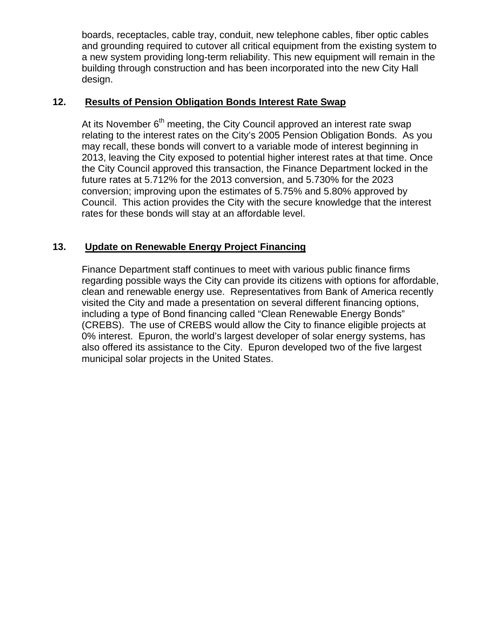boards, receptacles, cable tray, conduit, new telephone cables, fiber optic cables and grounding required to cutover all critical equipment from the existing system to a new system providing long-term reliability. This new equipment will remain in the building through construction and has been incorporated into the new City Hall design.

# **12. Results of Pension Obligation Bonds Interest Rate Swap**

At its November  $6<sup>th</sup>$  meeting, the City Council approved an interest rate swap relating to the interest rates on the City's 2005 Pension Obligation Bonds. As you may recall, these bonds will convert to a variable mode of interest beginning in 2013, leaving the City exposed to potential higher interest rates at that time. Once the City Council approved this transaction, the Finance Department locked in the future rates at 5.712% for the 2013 conversion, and 5.730% for the 2023 conversion; improving upon the estimates of 5.75% and 5.80% approved by Council. This action provides the City with the secure knowledge that the interest rates for these bonds will stay at an affordable level.

## **13. Update on Renewable Energy Project Financing**

Finance Department staff continues to meet with various public finance firms regarding possible ways the City can provide its citizens with options for affordable, clean and renewable energy use. Representatives from Bank of America recently visited the City and made a presentation on several different financing options, including a type of Bond financing called "Clean Renewable Energy Bonds" (CREBS). The use of CREBS would allow the City to finance eligible projects at 0% interest. Epuron, the world's largest developer of solar energy systems, has also offered its assistance to the City. Epuron developed two of the five largest municipal solar projects in the United States.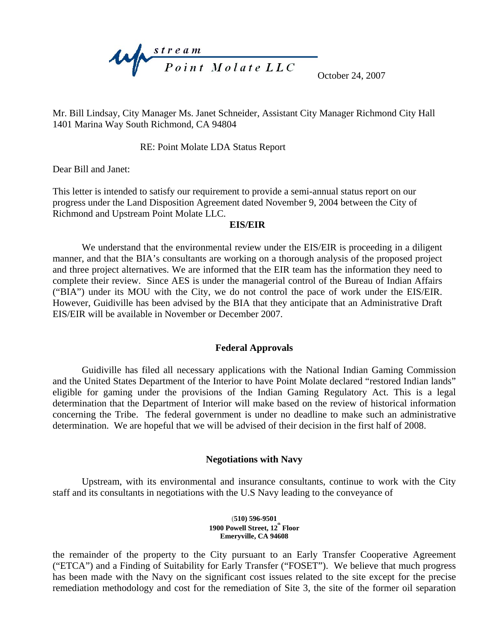

October 24, 2007

Mr. Bill Lindsay, City Manager Ms. Janet Schneider, Assistant City Manager Richmond City Hall 1401 Marina Way South Richmond, CA 94804

RE: Point Molate LDA Status Report

Dear Bill and Janet:

This letter is intended to satisfy our requirement to provide a semi-annual status report on our progress under the Land Disposition Agreement dated November 9, 2004 between the City of Richmond and Upstream Point Molate LLC.

#### **EIS/EIR**

We understand that the environmental review under the EIS/EIR is proceeding in a diligent manner, and that the BIA's consultants are working on a thorough analysis of the proposed project and three project alternatives. We are informed that the EIR team has the information they need to complete their review. Since AES is under the managerial control of the Bureau of Indian Affairs ("BIA") under its MOU with the City, we do not control the pace of work under the EIS/EIR. However, Guidiville has been advised by the BIA that they anticipate that an Administrative Draft EIS/EIR will be available in November or December 2007.

#### **Federal Approvals**

Guidiville has filed all necessary applications with the National Indian Gaming Commission and the United States Department of the Interior to have Point Molate declared "restored Indian lands" eligible for gaming under the provisions of the Indian Gaming Regulatory Act. This is a legal determination that the Department of Interior will make based on the review of historical information concerning the Tribe. The federal government is under no deadline to make such an administrative determination. We are hopeful that we will be advised of their decision in the first half of 2008.

#### **Negotiations with Navy**

Upstream, with its environmental and insurance consultants, continue to work with the City staff and its consultants in negotiations with the U.S Navy leading to the conveyance of

#### **(510) 596-9501**  1900 Powell Street, 12<sup>th</sup> Floor **Emeryville, CA 94608**

the remainder of the property to the City pursuant to an Early Transfer Cooperative Agreement ("ETCA") and a Finding of Suitability for Early Transfer ("FOSET"). We believe that much progress has been made with the Navy on the significant cost issues related to the site except for the precise remediation methodology and cost for the remediation of Site 3, the site of the former oil separation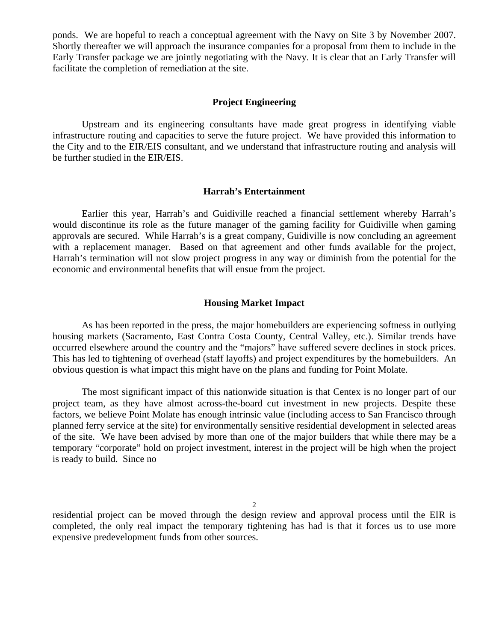ponds. We are hopeful to reach a conceptual agreement with the Navy on Site 3 by November 2007. Shortly thereafter we will approach the insurance companies for a proposal from them to include in the Early Transfer package we are jointly negotiating with the Navy. It is clear that an Early Transfer will facilitate the completion of remediation at the site.

#### **Project Engineering**

Upstream and its engineering consultants have made great progress in identifying viable infrastructure routing and capacities to serve the future project. We have provided this information to the City and to the EIR/EIS consultant, and we understand that infrastructure routing and analysis will be further studied in the EIR/EIS.

#### **Harrah's Entertainment**

Earlier this year, Harrah's and Guidiville reached a financial settlement whereby Harrah's would discontinue its role as the future manager of the gaming facility for Guidiville when gaming approvals are secured. While Harrah's is a great company, Guidiville is now concluding an agreement with a replacement manager. Based on that agreement and other funds available for the project, Harrah's termination will not slow project progress in any way or diminish from the potential for the economic and environmental benefits that will ensue from the project.

#### **Housing Market Impact**

As has been reported in the press, the major homebuilders are experiencing softness in outlying housing markets (Sacramento, East Contra Costa County, Central Valley, etc.). Similar trends have occurred elsewhere around the country and the "majors" have suffered severe declines in stock prices. This has led to tightening of overhead (staff layoffs) and project expenditures by the homebuilders. An obvious question is what impact this might have on the plans and funding for Point Molate.

The most significant impact of this nationwide situation is that Centex is no longer part of our project team, as they have almost across-the-board cut investment in new projects. Despite these factors, we believe Point Molate has enough intrinsic value (including access to San Francisco through planned ferry service at the site) for environmentally sensitive residential development in selected areas of the site. We have been advised by more than one of the major builders that while there may be a temporary "corporate" hold on project investment, interest in the project will be high when the project is ready to build. Since no

2

residential project can be moved through the design review and approval process until the EIR is completed, the only real impact the temporary tightening has had is that it forces us to use more expensive predevelopment funds from other sources.